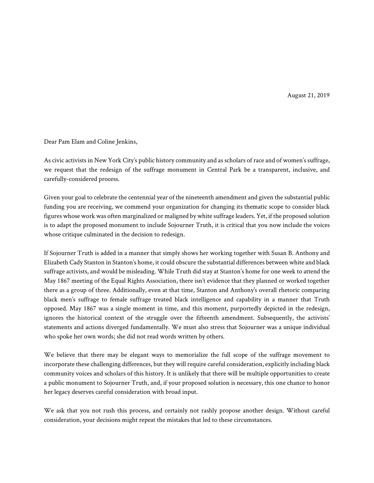August 21, 2019

Dear Pam Elam and Coline Jenkins,

As civic activists in New York City's public history community and as scholars of race and of women's suffrage, we request that the redesign of the suffrage monument in Central Park be a transparent, inclusive, and carefully-considered process.

Given your goal to celebrate the centennial year of the nineteenth amendment and given the substantial public funding you are receiving, we commend your organization for changing its thematic scope to consider black figures whose work was often marginalized or maligned by white suffrage leaders. Yet, if the proposed solution is to adapt the proposed monument to include Sojourner Truth, it is critical that you now include the voices whose critique culminated in the decision to redesign.

If Sojourner Truth is added in a manner that simply shows her working together with Susan B. Anthony and Elizabeth Cady Stanton in Stanton's home, it could obscure the substantial differences between white and black suffrage activists, and would be misleading. While Truth did stay at Stanton's home for one week to attend the May 1867 meeting of the Equal Rights Association, there isn't evidence that they planned or worked together there as a group of three. Additionally, even at that time, Stanton and Anthony's overall rhetoric comparing black men's suffrage to female suffrage treated black intelligence and capability in a manner that Truth opposed. May 1867 was a single moment in time, and this moment, purportedly depicted in the redesign, ignores the historical context of the struggle over the fifteenth amendment. Subsequently, the activists' statements and actions diverged fundamentally. We must also stress that Sojourner was a unique individual who spoke her own words; she did not read words written by others.

We believe that there may be elegant ways to memorialize the full scope of the suffrage movement to incorporate these challenging differences, but they will require careful consideration, explicitly including black community voices and scholars of this history. It is unlikely that there will be multiple opportunities to create a public monument to Sojourner Truth, and, if your proposed solution is necessary, this one chance to honor her legacy deserves careful consideration with broad input.

We ask that you not rush this process, and certainly not rashly propose another design. Without careful consideration, your decisions might repeat the mistakes that led to these circumstances.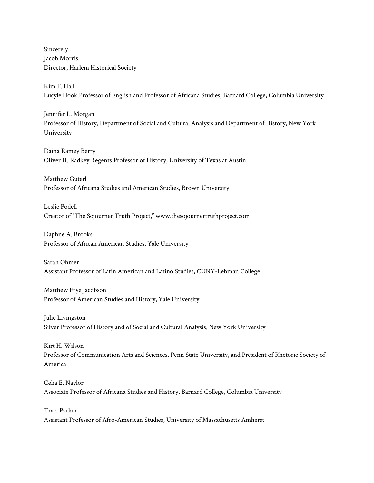Sincerely, Jacob Morris Director, Harlem Historical Society

Kim F. Hall Lucyle Hook Professor of English and Professor of Africana Studies, Barnard College, Columbia University

Jennifer L. Morgan Professor of History, Department of Social and Cultural Analysis and Department of History, New York University

Daina Ramey Berry Oliver H. Radkey Regents Professor of History, University of Texas at Austin

Matthew Guterl Professor of Africana Studies and American Studies, Brown University

Leslie Podell Creator of "The Sojourner Truth Project," www.thesojournertruthproject.com

Daphne A. Brooks Professor of African American Studies, Yale University

Sarah Ohmer Assistant Professor of Latin American and Latino Studies, CUNY-Lehman College

Matthew Frye Jacobson Professor of American Studies and History, Yale University

Julie Livingston Silver Professor of History and of Social and Cultural Analysis, New York University

Kirt H. Wilson Professor of Communication Arts and Sciences, Penn State University, and President of Rhetoric Society of America

Celia E. Naylor Associate Professor of Africana Studies and History, Barnard College, Columbia University

Traci Parker Assistant Professor of Afro-American Studies, University of Massachusetts Amherst